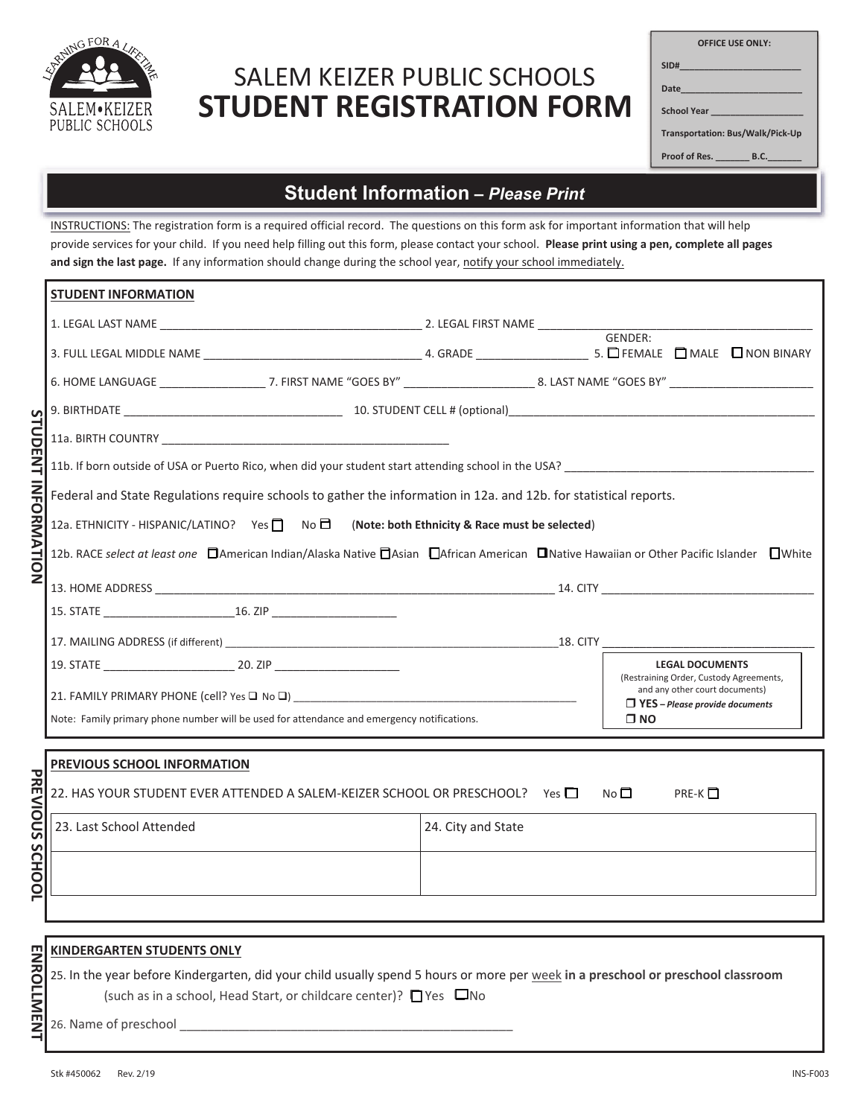

# **STUDENT REGISTRATION FORM** SALEM KEIZER PUBLIC SCHOOLS

| <b>OFFICE USE ONLY:</b>                |
|----------------------------------------|
| SID#___________________________        |
| Date_________________________          |
| School Year ____________________       |
| Transportation: Bus/Walk/Pick-Up       |
| Proof of Res. __________ B.C._________ |
|                                        |

### **Your Student Information** *– Please Print*

INSTRUCTIONS: The registration form is a required official record. The questions on this form ask for important information that will help provide services for your child. If you need help filling out this form, please contact your school. **Please print using a pen, complete all pages and sign the last page.** If any information should change during the school year, notify your school immediately.

|                            | <b>STUDENT INFORMATION</b>                                                                                                                      |                    |  |                 |                                                                         |                                         |
|----------------------------|-------------------------------------------------------------------------------------------------------------------------------------------------|--------------------|--|-----------------|-------------------------------------------------------------------------|-----------------------------------------|
|                            |                                                                                                                                                 |                    |  |                 |                                                                         |                                         |
|                            |                                                                                                                                                 |                    |  | GENDER:         |                                                                         |                                         |
|                            |                                                                                                                                                 |                    |  |                 |                                                                         |                                         |
|                            |                                                                                                                                                 |                    |  |                 |                                                                         |                                         |
|                            |                                                                                                                                                 |                    |  |                 |                                                                         |                                         |
|                            |                                                                                                                                                 |                    |  |                 |                                                                         |                                         |
|                            | Federal and State Regulations require schools to gather the information in 12a. and 12b. for statistical reports.                               |                    |  |                 |                                                                         |                                         |
|                            | 12a. ETHNICITY - HISPANIC/LATINO? Yes   No □ (Note: both Ethnicity & Race must be selected)                                                     |                    |  |                 |                                                                         |                                         |
| <b>STUDENT INFORMATION</b> | 12b. RACE select at least one <b>D</b> American Indian/Alaska Native DAsian DAfrican American DNative Hawaiian or Other Pacific Islander DWhite |                    |  |                 |                                                                         |                                         |
|                            |                                                                                                                                                 |                    |  |                 |                                                                         |                                         |
|                            |                                                                                                                                                 |                    |  |                 |                                                                         |                                         |
|                            |                                                                                                                                                 |                    |  |                 |                                                                         |                                         |
|                            | 19. STATE 20. ZIP                                                                                                                               |                    |  |                 | <b>LEGAL DOCUMENTS</b>                                                  | (Restraining Order, Custody Agreements, |
|                            | 21. FAMILY PRIMARY PHONE (cell? Yes $\square$ No $\square$ )                                                                                    |                    |  |                 | and any other court documents)<br>$\Box$ YES – Please provide documents |                                         |
|                            | Note: Family primary phone number will be used for attendance and emergency notifications.                                                      |                    |  | $\Box$ NO       |                                                                         |                                         |
|                            | PREVIOUS SCHOOL INFORMATION                                                                                                                     |                    |  |                 |                                                                         |                                         |
|                            |                                                                                                                                                 |                    |  |                 |                                                                         |                                         |
| PREVIOUS                   | 22. HAS YOUR STUDENT EVER ATTENDED A SALEM-KEIZER SCHOOL OR PRESCHOOL? Yes □                                                                    |                    |  | No <sup>1</sup> | PRE-K $\Box$                                                            |                                         |
|                            | 23. Last School Attended                                                                                                                        | 24. City and State |  |                 |                                                                         |                                         |
| S                          |                                                                                                                                                 |                    |  |                 |                                                                         |                                         |
| <b>CHOOL</b>               |                                                                                                                                                 |                    |  |                 |                                                                         |                                         |
|                            |                                                                                                                                                 |                    |  |                 |                                                                         |                                         |

#### **KINDERGARTEN STUDENTS ONLY**

25. In the year before Kindergarten, did your child usually spend 5 hours or more per week **in a preschool or preschool classroom** (such as in a school, Head Start, or childcare center)? ❑ Yes ❑ No

26. Name of preschool

**ENROLLMENT**

**ENROLLMEN**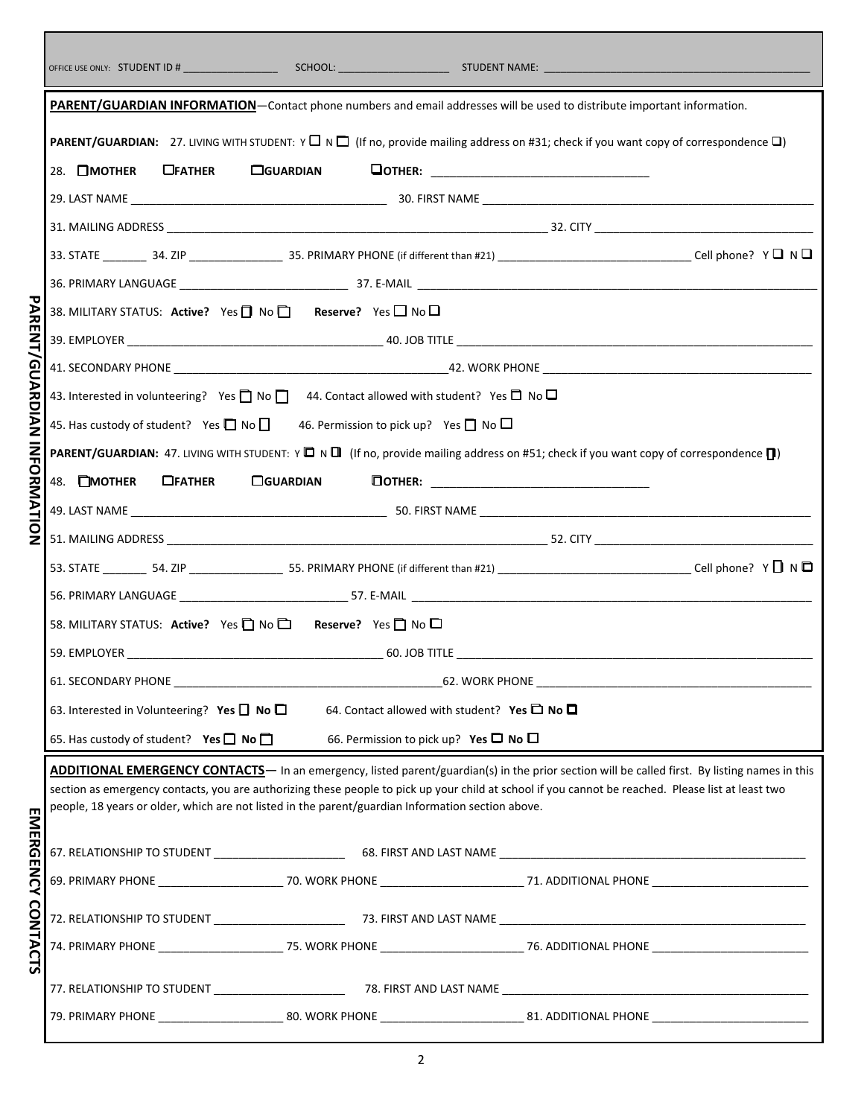|                             | PARENT/GUARDIAN INFORMATION-Contact phone numbers and email addresses will be used to distribute important information.                                                                                                                                 |                  |                                                        |  |
|-----------------------------|---------------------------------------------------------------------------------------------------------------------------------------------------------------------------------------------------------------------------------------------------------|------------------|--------------------------------------------------------|--|
|                             | <b>PARENT/GUARDIAN:</b> 27. LIVING WITH STUDENT: $Y \Box \lor \Box$ (If no, provide mailing address on #31; check if you want copy of correspondence $\Box$ )                                                                                           |                  |                                                        |  |
|                             | 28. $\Box$ <b>MOTHER</b><br><b>UFATHER</b>                                                                                                                                                                                                              | □GUARDIAN        | <b>OOTHER:</b> _________________________________       |  |
|                             |                                                                                                                                                                                                                                                         |                  |                                                        |  |
|                             |                                                                                                                                                                                                                                                         |                  |                                                        |  |
|                             |                                                                                                                                                                                                                                                         |                  |                                                        |  |
|                             |                                                                                                                                                                                                                                                         |                  |                                                        |  |
| PARENT/GUARDIAN INFORMATION | 38. MILITARY STATUS: Active? Yes $\Box$ No $\Box$ Reserve? Yes $\Box$ No $\Box$                                                                                                                                                                         |                  |                                                        |  |
|                             |                                                                                                                                                                                                                                                         |                  |                                                        |  |
|                             |                                                                                                                                                                                                                                                         |                  |                                                        |  |
|                             | 43. Interested in volunteering? Yes $\Box$ No $\Box$ 44. Contact allowed with student? Yes $\Box$ No $\Box$                                                                                                                                             |                  |                                                        |  |
|                             | 45. Has custody of student? Yes $\Box$ No $\Box$ 46. Permission to pick up? Yes $\Box$ No $\Box$                                                                                                                                                        |                  |                                                        |  |
|                             | <b>PARENT/GUARDIAN:</b> 47. LIVING WITH STUDENT: $Y \Box N \Box$ (If no, provide mailing address on #51; check if you want copy of correspondence $\Box$ )                                                                                              |                  |                                                        |  |
|                             | 48. MOTHER<br>$\Box$ FATHER                                                                                                                                                                                                                             | <b>COUARDIAN</b> |                                                        |  |
|                             |                                                                                                                                                                                                                                                         |                  |                                                        |  |
|                             |                                                                                                                                                                                                                                                         |                  |                                                        |  |
|                             |                                                                                                                                                                                                                                                         |                  |                                                        |  |
|                             |                                                                                                                                                                                                                                                         |                  |                                                        |  |
|                             | 58. MILITARY STATUS: Active? Yes □ No □ Reserve? Yes □ No □                                                                                                                                                                                             |                  |                                                        |  |
|                             |                                                                                                                                                                                                                                                         |                  |                                                        |  |
|                             | 61. SECONDARY PHONE                                                                                                                                                                                                                                     |                  | 62. WORK PHONE                                         |  |
|                             | 63. Interested in Volunteering? Yes $\Box$ No $\Box$                                                                                                                                                                                                    |                  | 64. Contact allowed with student? Yes $\Box$ No $\Box$ |  |
|                             | 65. Has custody of student? Yes $\Box$ No $\Box$                                                                                                                                                                                                        |                  | 66. Permission to pick up? Yes $\Box$ No $\Box$        |  |
|                             | ADDITIONAL EMERGENCY CONTACTS- In an emergency, listed parent/guardian(s) in the prior section will be called first. By listing names in this                                                                                                           |                  |                                                        |  |
|                             | section as emergency contacts, you are authorizing these people to pick up your child at school if you cannot be reached. Please list at least two<br>people, 18 years or older, which are not listed in the parent/guardian Information section above. |                  |                                                        |  |
|                             |                                                                                                                                                                                                                                                         |                  |                                                        |  |
|                             |                                                                                                                                                                                                                                                         |                  |                                                        |  |
|                             |                                                                                                                                                                                                                                                         |                  |                                                        |  |
|                             |                                                                                                                                                                                                                                                         |                  |                                                        |  |
| <b>EMERGENCY CONTACTS</b>   | 74. PRIMARY PHONE _______________________75. WORK PHONE _________________________76. ADDITIONAL PHONE _________________________________                                                                                                                 |                  |                                                        |  |
|                             |                                                                                                                                                                                                                                                         |                  |                                                        |  |
|                             |                                                                                                                                                                                                                                                         |                  |                                                        |  |
|                             | 79. PRIMARY PHONE _______________________80. WORK PHONE _____________________________81. ADDITIONAL PHONE _____________________________                                                                                                                 |                  |                                                        |  |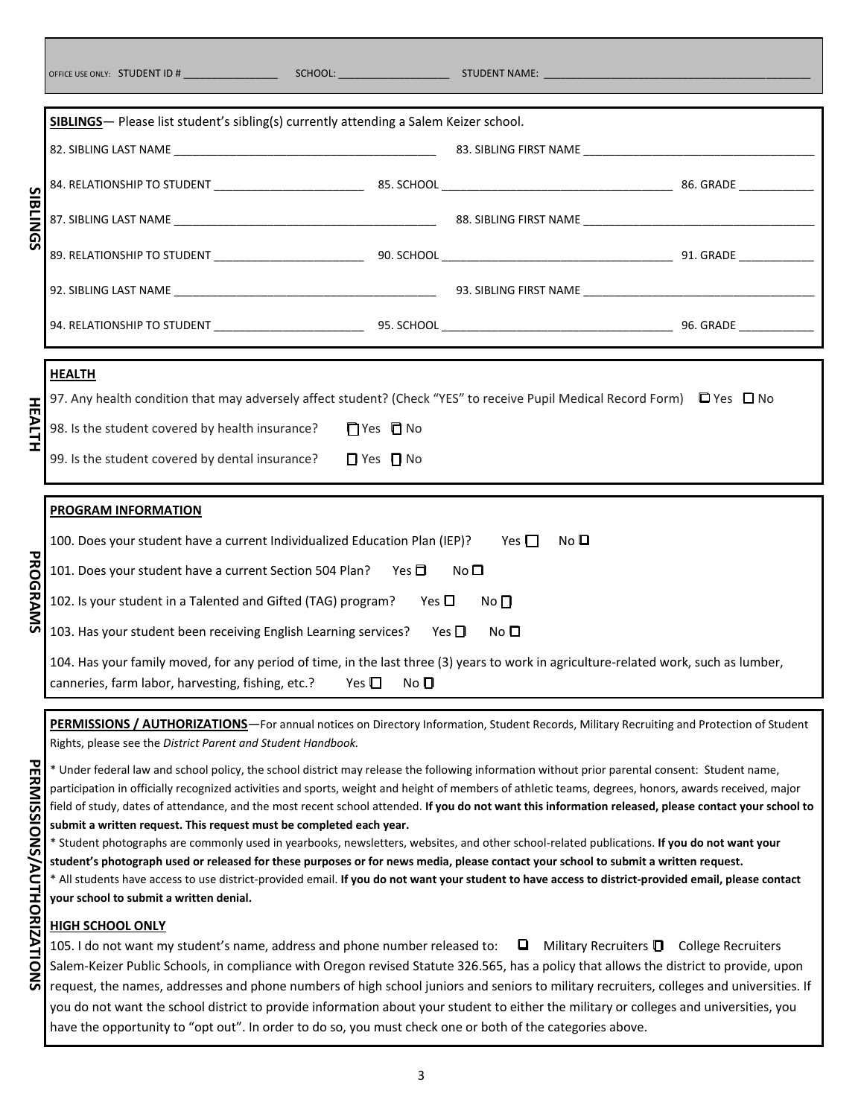|     | SIBLINGS- Please list student's sibling(s) currently attending a Salem Keizer school.                                                                                                                                                                                                  |                            |
|-----|----------------------------------------------------------------------------------------------------------------------------------------------------------------------------------------------------------------------------------------------------------------------------------------|----------------------------|
|     |                                                                                                                                                                                                                                                                                        |                            |
|     |                                                                                                                                                                                                                                                                                        |                            |
|     |                                                                                                                                                                                                                                                                                        |                            |
| ດ   |                                                                                                                                                                                                                                                                                        |                            |
|     |                                                                                                                                                                                                                                                                                        |                            |
|     |                                                                                                                                                                                                                                                                                        |                            |
|     |                                                                                                                                                                                                                                                                                        |                            |
|     | <b>HEALTH</b><br>97. Any health condition that may adversely affect student? (Check "YES" to receive Pupil Medical Record Form) □ Yes □ No<br>98. Is the student covered by health insurance?<br>□ Yes □ No<br>99. Is the student covered by dental insurance?<br>$\Box$ Yes $\Box$ No |                            |
|     | PROGRAM INFORMATION                                                                                                                                                                                                                                                                    |                            |
|     | 100. Does your student have a current Individualized Education Plan (IEP)?                                                                                                                                                                                                             | Yes $\Box$<br>No $\square$ |
|     | 101. Does your student have a current Section 504 Plan? Yes D                                                                                                                                                                                                                          | No <sub>1</sub>            |
| QRA | 102. Is your student in a Talented and Gifted (TAG) program?<br>Yes $\Box$                                                                                                                                                                                                             | $No$ $\Box$                |
|     | 103. Has your student been receiving English Learning services?                                                                                                                                                                                                                        | Yes $\Box$<br>No $\square$ |
|     | 104. Has your family moved, for any period of time, in the last three (3) years to work in agriculture-related work, such as lumber,<br>canneries, farm labor, harvesting, fishing, etc.?<br>Yes $\Box$<br>$N$ o $\P$                                                                  |                            |
|     | PERMISSIONS / AUTHORIZATIONS-For annual notices on Directory Information, Student Records, Military Recruiting and Protection of Student                                                                                                                                               |                            |

Rights, please see the *District Parent and Student Handbook.*

\* Under federal law and school policy, the school district may release the following information without prior parental consent: Student name, participation in officially recognized activities and sports, weight and height of members of athletic teams, degrees, honors, awards received, major field of study, dates of attendance, and the most recent school attended. **If you do not want this information released, please contact your school to submit a written request. This request must be completed each year.** 

\* Student photographs are commonly used in yearbooks, newsletters, websites, and other school-related publications. **If you do not want your student's photograph used or released for these purposes or for news media, please contact your school to submit a written request.** 

\* All students have access to use district-provided email. **If you do not want your student to have access to district-provided email, please contact your school to submit a written denial.**

### **HIGH SCHOOL ONLY**

105. I do not want my student's name, address and phone number released to: ❑ Military Recruiters ❑ College Recruiters Salem-Keizer Public Schools, in compliance with Oregon revised Statute 326.565, has a policy that allows the district to provide, upon request, the names, addresses and phone numbers of high school juniors and seniors to military recruiters, colleges and universities. If you do not want the school district to provide information about your student to either the military or colleges and universities, you have the opportunity to "opt out". In order to do so, you must check one or both of the categories above.